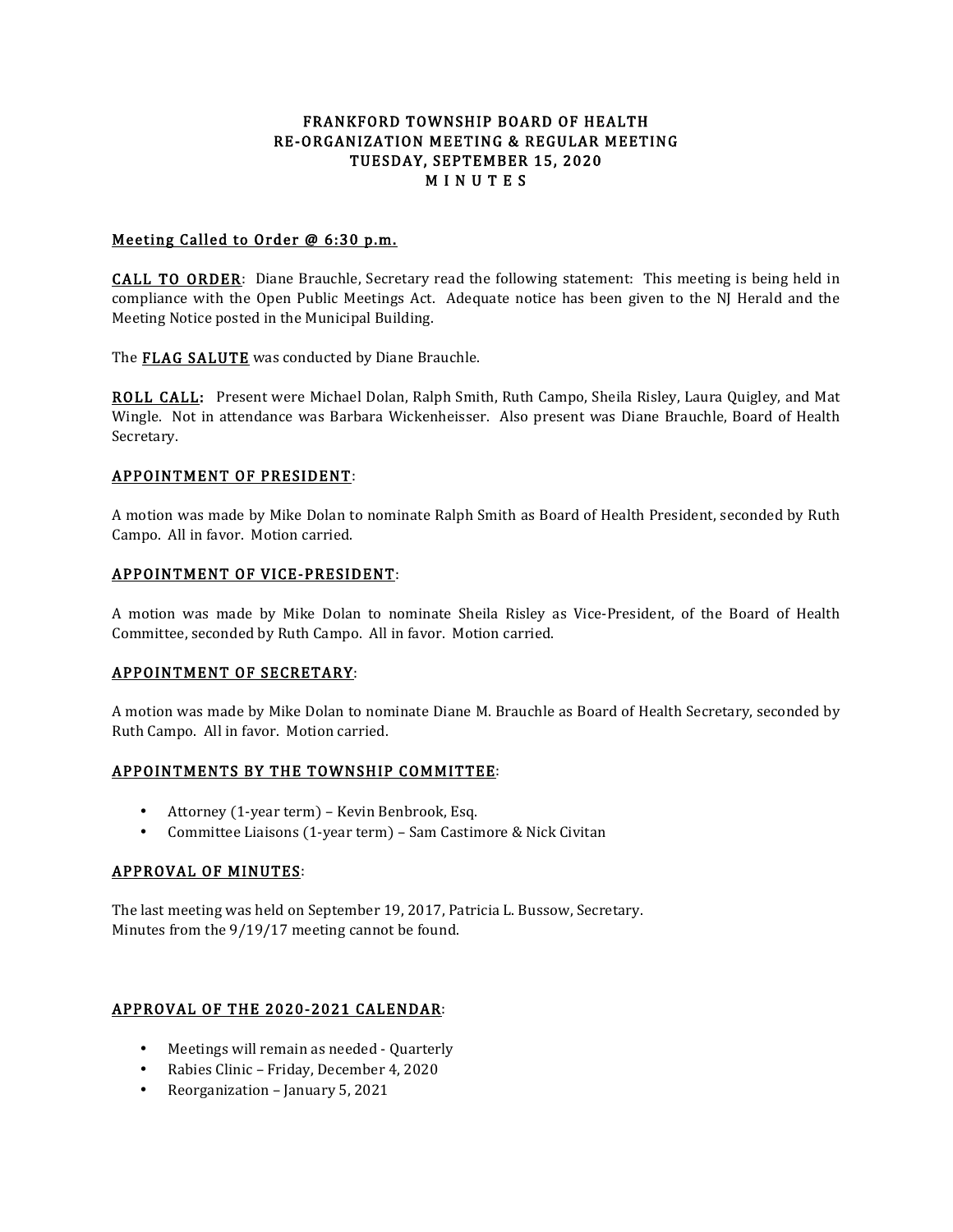# FRANKFORD TOWNSHIP BOARD OF HEALTH RE-ORGANIZATION MEETING & REGULAR MEETING TUESDAY, SEPTEMBER 15, 2020 **MINUTES**

# Meeting Called to Order @ 6:30 p.m.

CALL TO ORDER: Diane Brauchle, Secretary read the following statement: This meeting is being held in compliance with the Open Public Meetings Act. Adequate notice has been given to the NJ Herald and the Meeting Notice posted in the Municipal Building.

The **FLAG SALUTE** was conducted by Diane Brauchle.

ROLL CALL: Present were Michael Dolan, Ralph Smith, Ruth Campo, Sheila Risley, Laura Quigley, and Mat Wingle. Not in attendance was Barbara Wickenheisser. Also present was Diane Brauchle, Board of Health Secretary.

## APPOINTMENT OF PRESIDENT:

A motion was made by Mike Dolan to nominate Ralph Smith as Board of Health President, seconded by Ruth Campo. All in favor. Motion carried.

## APPOINTMENT OF VICE-PRESIDENT:

A motion was made by Mike Dolan to nominate Sheila Risley as Vice-President, of the Board of Health Committee, seconded by Ruth Campo. All in favor. Motion carried.

### APPOINTMENT OF SECRETARY:

A motion was made by Mike Dolan to nominate Diane M. Brauchle as Board of Health Secretary, seconded by Ruth Campo. All in favor. Motion carried.

### APPOINTMENTS BY THE TOWNSHIP COMMITTEE:

- Attorney (1-year term) Kevin Benbrook, Esq.
- Committee Liaisons (1-year term) Sam Castimore & Nick Civitan

### APPROVAL OF MINUTES:

The last meeting was held on September 19, 2017, Patricia L. Bussow, Secretary. Minutes from the 9/19/17 meeting cannot be found.

# APPROVAL OF THE 2020-2021 CALENDAR:

- Meetings will remain as needed Quarterly
- Rabies Clinic Friday, December 4, 2020
- Reorganization January 5, 2021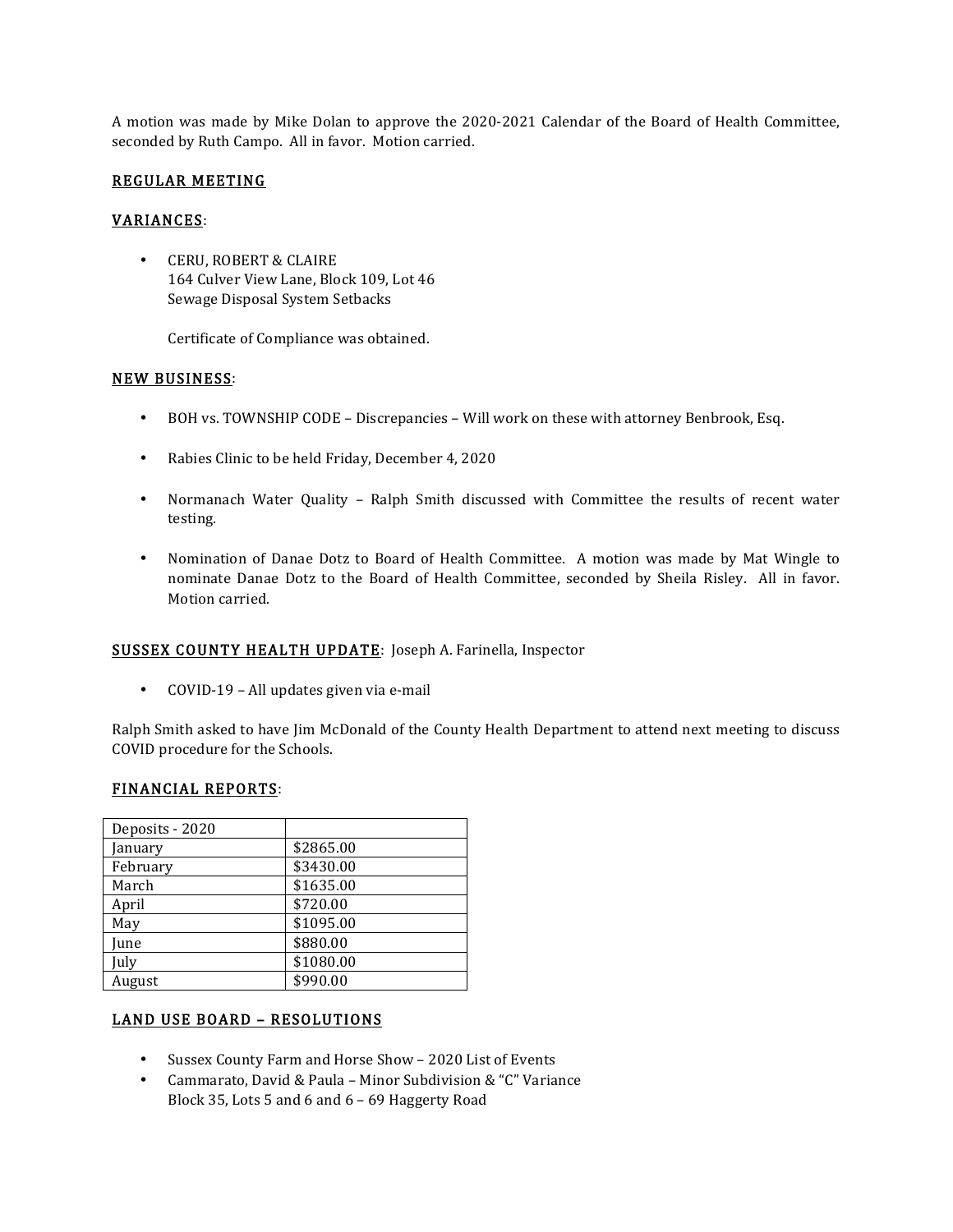A motion was made by Mike Dolan to approve the 2020-2021 Calendar of the Board of Health Committee, seconded by Ruth Campo. All in favor. Motion carried.

## REGULAR MEETING

## VARIANCES:

• CERU, ROBERT & CLAIRE 164 Culver View Lane, Block 109, Lot 46 Sewage Disposal System Setbacks

Certificate of Compliance was obtained.

### NEW BUSINESS:

- BOH vs. TOWNSHIP CODE Discrepancies Will work on these with attorney Benbrook, Esq.
- Rabies Clinic to be held Friday, December 4, 2020
- Normanach Water Quality Ralph Smith discussed with Committee the results of recent water testing.
- Nomination of Danae Dotz to Board of Health Committee. A motion was made by Mat Wingle to nominate Danae Dotz to the Board of Health Committee, seconded by Sheila Risley. All in favor. Motion carried.

# SUSSEX COUNTY HEALTH UPDATE: Joseph A. Farinella, Inspector

• COVID-19 – All updates given via e-mail

Ralph Smith asked to have Jim McDonald of the County Health Department to attend next meeting to discuss COVID procedure for the Schools.

### FINANCIAL REPORTS:

| Deposits - 2020 |           |
|-----------------|-----------|
| January         | \$2865.00 |
| February        | \$3430.00 |
| March           | \$1635.00 |
| April           | \$720.00  |
| May             | \$1095.00 |
| June            | \$880.00  |
| July            | \$1080.00 |
| August          | \$990.00  |

# LAND USE BOARD – RESOLUTIONS

- Sussex County Farm and Horse Show 2020 List of Events
- Cammarato, David & Paula Minor Subdivision & "C" Variance Block 35, Lots 5 and 6 and 6 – 69 Haggerty Road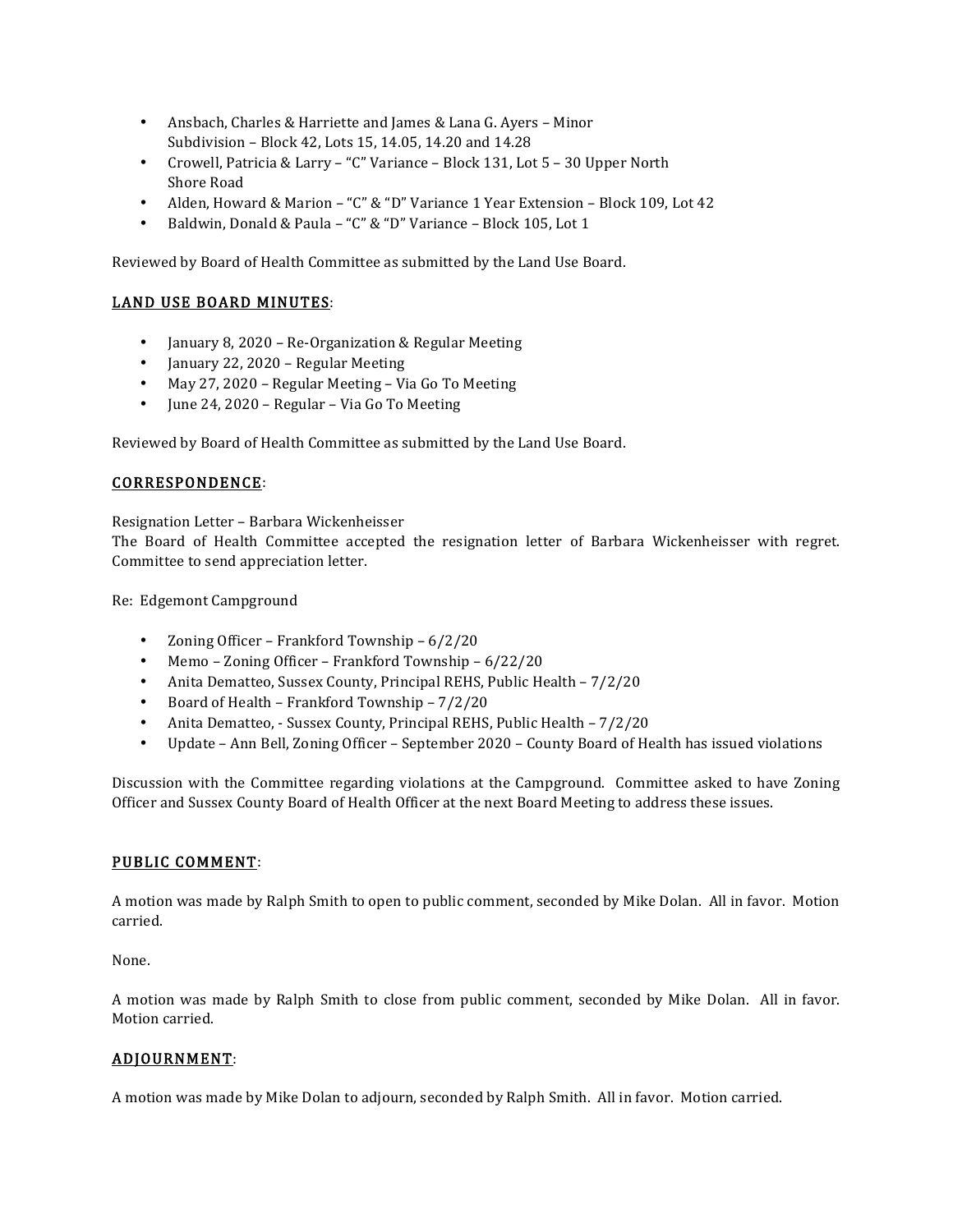- Ansbach, Charles & Harriette and James & Lana G. Ayers Minor Subdivision – Block 42, Lots 15, 14.05, 14.20 and 14.28
- Crowell, Patricia & Larry "C" Variance Block 131, Lot 5 30 Upper North Shore Road
- Alden, Howard & Marion "C" & "D" Variance 1 Year Extension Block 109, Lot 42
- Baldwin, Donald & Paula "C" & "D" Variance Block 105, Lot 1

Reviewed by Board of Health Committee as submitted by the Land Use Board.

# LAND USE BOARD MINUTES:

- January 8, 2020 Re-Organization & Regular Meeting
- January 22, 2020 Regular Meeting
- May 27, 2020 Regular Meeting Via Go To Meeting
- June 24, 2020 Regular Via Go To Meeting

Reviewed by Board of Health Committee as submitted by the Land Use Board.

## CORRESPONDENCE:

Resignation Letter – Barbara Wickenheisser

The Board of Health Committee accepted the resignation letter of Barbara Wickenheisser with regret. Committee to send appreciation letter.

Re: Edgemont Campground

- Zoning Officer Frankford Township 6/2/20
- Memo Zoning Officer Frankford Township 6/22/20
- Anita Dematteo, Sussex County, Principal REHS, Public Health  $7/2/20$
- Board of Health Frankford Township 7/2/20
- Anita Dematteo, Sussex County, Principal REHS, Public Health 7/2/20
- Update Ann Bell, Zoning Officer September 2020 County Board of Health has issued violations

Discussion with the Committee regarding violations at the Campground. Committee asked to have Zoning Officer and Sussex County Board of Health Officer at the next Board Meeting to address these issues.

### PUBLIC COMMENT:

A motion was made by Ralph Smith to open to public comment, seconded by Mike Dolan. All in favor. Motion carried.

None.

A motion was made by Ralph Smith to close from public comment, seconded by Mike Dolan. All in favor. Motion carried.

### ADJOURNMENT:

A motion was made by Mike Dolan to adjourn, seconded by Ralph Smith. All in favor. Motion carried.